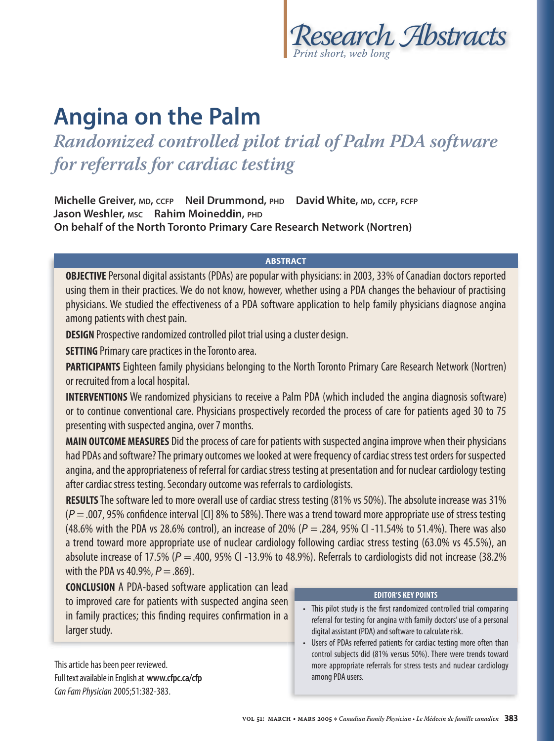

# **Angina on the Palm**

*Randomized controlled pilot trial of Palm PDA software for referrals for cardiac testing*

**Michelle Greiver, MD, CCFP Neil Drummond, PHD David White, MD, CCFP, FCFP Jason Weshler, MSC Rahim Moineddin, PHD On behalf of the North Toronto Primary Care Research Network (Nortren)**

## **ABSTRACT**

**OBJECTIVE** Personal digital assistants (PDAs) are popular with physicians: in 2003, 33% of Canadian doctors reported using them in their practices. We do not know, however, whether using a PDA changes the behaviour of practising physicians. We studied the effectiveness of a PDA software application to help family physicians diagnose angina among patients with chest pain.

**DESIGN** Prospective randomized controlled pilot trial using a cluster design.

**SETTING** Primary care practices in the Toronto area.

**PARTICIPANTS** Eighteen family physicians belonging to the North Toronto Primary Care Research Network (Nortren) or recruited from a local hospital.

**INTERVENTIONS** We randomized physicians to receive a Palm PDA (which included the angina diagnosis software) or to continue conventional care. Physicians prospectively recorded the process of care for patients aged 30 to 75 presenting with suspected angina, over 7 months.

**MAIN OUTCOME MEASURES** Did the process of care for patients with suspected angina improve when their physicians had PDAs and software? The primary outcomes we looked at were frequency of cardiac stress test orders for suspected angina, and the appropriateness of referral for cardiac stress testing at presentation and for nuclear cardiology testing after cardiac stress testing. Secondary outcome was referrals to cardiologists.

**RESULTS** The software led to more overall use of cardiac stress testing (81% vs 50%). The absolute increase was 31%  $(P=.007, 95\%$  confidence interval [CI] 8% to 58%). There was a trend toward more appropriate use of stress testing (48.6% with the PDA vs 28.6% control), an increase of 20% ( $P = 0.284$ , 95% CI -11.54% to 51.4%). There was also a trend toward more appropriate use of nuclear cardiology following cardiac stress testing (63.0% vs 45.5%), an absolute increase of 17.5% ( $P = 0.400$ , 95% CI -13.9% to 48.9%). Referrals to cardiologists did not increase (38.2%) with the PDA vs 40.9%,  $P = .869$ ).

**CONCLUSION** A PDA-based software application can lead to improved care for patients with suspected angina seen to improved care for patients with suspected angina in family practices; this finding requires confirmation in a larger study.

This article has been peer reviewed. Full text available in English at **www.cfpc.ca/cfp** Can Fam Physician 2005;51:382-383.

### **EDITOR'S KEY POINTS**

- This pilot study is the first randomized controlled trial comparing referral for testing for angina with family doctors' use of a personal digital assistant (PDA) and software to calculate risk.
- Users of PDAs referred patients for cardiac testing more often than control subjects did (81% versus 50%). There were trends toward more appropriate referrals for stress tests and nuclear cardiology among PDA users.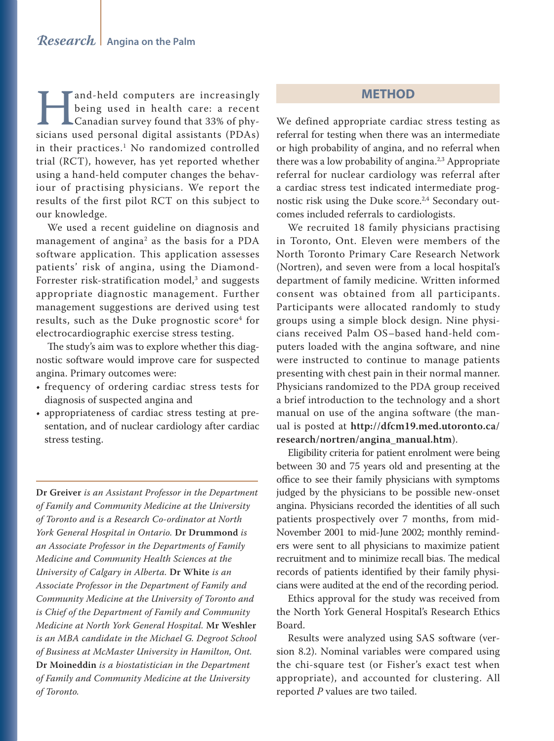and-held computers are increasingly<br>being used in health care: a recent<br>Canadian survey found that 33% of phy-<br>sicians used personal digital assistants (PDAs) being used in health care: a recent Canadian survey found that 33% of physicians used personal digital assistants (PDAs) in their practices.1 No randomized controlled trial (RCT), however, has yet reported whether using a hand-held computer changes the behaviour of practising physicians. We report the results of the first pilot RCT on this subject to our knowledge.

We used a recent guideline on diagnosis and management of angina<sup>2</sup> as the basis for a PDA software application. This application assesses patients' risk of angina, using the Diamond-Forrester risk-stratification model,<sup>3</sup> and suggests appropriate diagnostic management. Further management suggestions are derived using test results, such as the Duke prognostic score<sup>4</sup> for electrocardiographic exercise stress testing.

The study's aim was to explore whether this diagnostic software would improve care for suspected angina. Primary outcomes were:

- frequency of ordering cardiac stress tests for diagnosis of suspected angina and
- appropriateness of cardiac stress testing at presentation, and of nuclear cardiology after cardiac stress testing.

**Dr Greiver** *is an Assistant Professor in the Department of Family and Community Medicine at the University of Toronto and is a Research Co-ordinator at North York General Hospital in Ontario.* **Dr Drummond** *is an Associate Professor in the Departments of Family Medicine and Community Health Sciences at the University of Calgary in Alberta.* **Dr White** *is an Associate Professor in the Department of Family and Community Medicine at the University of Toronto and is Chief of the Department of Family and Community Medicine at North York General Hospital.* **Mr Weshler** *is an MBA candidate in the Michael G. Degroot School of Business at McMaster University in Hamilton, Ont.*  **Dr Moineddin** *is a biostatistician in the Department of Family and Community Medicine at the University of Toronto.*

## **METHOD**

We defined appropriate cardiac stress testing as referral for testing when there was an intermediate or high probability of angina, and no referral when there was a low probability of angina.<sup>2,3</sup> Appropriate referral for nuclear cardiology was referral after a cardiac stress test indicated intermediate prognostic risk using the Duke score.<sup>2,4</sup> Secondary outcomes included referrals to cardiologists.

We recruited 18 family physicians practising in Toronto, Ont. Eleven were members of the North Toronto Primary Care Research Network (Nortren), and seven were from a local hospital's department of family medicine. Written informed consent was obtained from all participants. Participants were allocated randomly to study groups using a simple block design. Nine physicians received Palm OS–based hand-held computers loaded with the angina software, and nine were instructed to continue to manage patients presenting with chest pain in their normal manner. Physicians randomized to the PDA group received a brief introduction to the technology and a short manual on use of the angina software (the manual is posted at **http://dfcm19.med.utoronto.ca/ research/nortren/angina\_manual.htm**).

Eligibility criteria for patient enrolment were being between 30 and 75 years old and presenting at the office to see their family physicians with symptoms judged by the physicians to be possible new-onset angina. Physicians recorded the identities of all such patients prospectively over 7 months, from mid-November 2001 to mid-June 2002; monthly reminders were sent to all physicians to maximize patient recruitment and to minimize recall bias. The medical records of patients identified by their family physicians were audited at the end of the recording period.

Ethics approval for the study was received from the North York General Hospital's Research Ethics Board.

Results were analyzed using SAS software (version 8.2). Nominal variables were compared using the chi-square test (or Fisher's exact test when appropriate), and accounted for clustering. All reported *P* values are two tailed.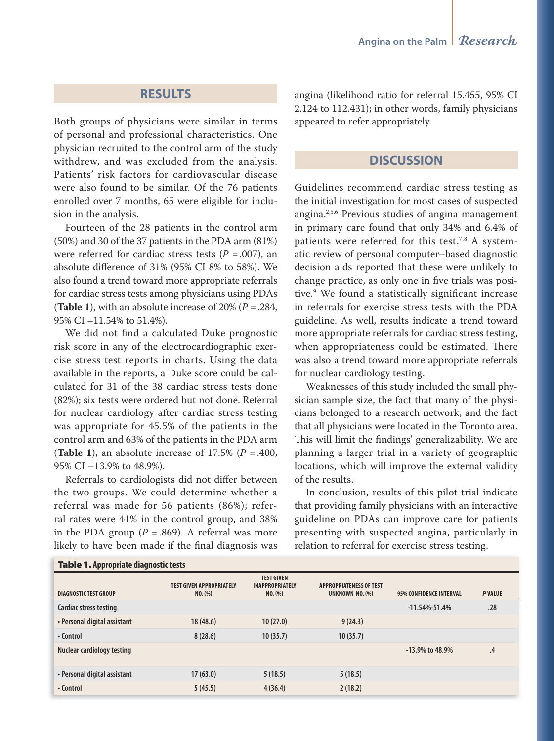## **RESULTS**

Both groups of physicians were similar in terms of personal and professional characteristics. One physician recruited to the control arm of the study withdrew, and was excluded from the analysis. Patients' risk factors for cardiovascular disease were also found to be similar. Of the 76 patients enrolled over 7 months, 65 were eligible for inclusion in the analysis.

Fourteen of the 28 patients in the control arm (50%) and 30 of the 37 patients in the PDA arm (81%) were referred for cardiac stress tests  $(P = .007)$ , an absolute difference of 31% (95% CI 8% to 58%). We also found a trend toward more appropriate referrals for cardiac stress tests among physicians using PDAs (**Table 1**), with an absolute increase of 20% (*P* = .284, 95% CI –11.54% to 51.4%).

We did not find a calculated Duke prognostic risk score in any of the electrocardiographic exercise stress test reports in charts. Using the data available in the reports, a Duke score could be calculated for 31 of the 38 cardiac stress tests done (82%); six tests were ordered but not done. Referral for nuclear cardiology after cardiac stress testing was appropriate for 45.5% of the patients in the control arm and 63% of the patients in the PDA arm (**Table 1**), an absolute increase of 17.5% ( $P = .400$ , 95% CI –13.9% to 48.9%).

Referrals to cardiologists did not differ between the two groups. We could determine whether a referral was made for 56 patients (86%); referral rates were 41% in the control group, and 38% in the PDA group ( $P = .869$ ). A referral was more likely to have been made if the final diagnosis was

angina (likelihood ratio for referral 15.455, 95% CI 2.124 to 112.431); in other words, family physicians appeared to refer appropriately.

## **DISCUSSION**

Guidelines recommend cardiac stress testing as the initial investigation for most cases of suspected angina.2,5,6 Previous studies of angina management in primary care found that only 34% and 6.4% of patients were referred for this test.<sup>7,8</sup> A systematic review of personal computer–based diagnostic decision aids reported that these were unlikely to change practice, as only one in five trials was positive.<sup>9</sup> We found a statistically significant increase in referrals for exercise stress tests with the PDA guideline. As well, results indicate a trend toward more appropriate referrals for cardiac stress testing, when appropriateness could be estimated. There was also a trend toward more appropriate referrals for nuclear cardiology testing.

Weaknesses of this study included the small physician sample size, the fact that many of the physicians belonged to a research network, and the fact that all physicians were located in the Toronto area. This will limit the findings' generalizability. We are planning a larger trial in a variety of geographic locations, which will improve the external validity of the results.

In conclusion, results of this pilot trial indicate that providing family physicians with an interactive guideline on PDAs can improve care for patients presenting with suspected angina, particularly in relation to referral for exercise stress testing.

| DIAGNOSTIC TEST GROUP             | <b>TEST GIVEN APPROPRIATELY</b><br>NO. (%) | <b>TEST GIVEN</b><br><b>INAPPROPRIATELY</b><br>NO. (%) | <b>APPROPRIATENESS OF TEST</b><br>UNKNOWN NO. (%) | <b>95% CONFIDENCE INTERVAL</b> | <b>PVALUE</b> |
|-----------------------------------|--------------------------------------------|--------------------------------------------------------|---------------------------------------------------|--------------------------------|---------------|
| Cardiac stress testing            |                                            |                                                        |                                                   | $-11.54\% - 51.4\%$            | .28           |
| • Personal digital assistant      | 18(48.6)                                   | 10(27.0)                                               | 9(24.3)                                           |                                |               |
| • Control                         | 8(28.6)                                    | 10(35.7)                                               | 10(35.7)                                          |                                |               |
| <b>Nuclear cardiology testing</b> |                                            |                                                        |                                                   | $-13.9\%$ to 48.9%             | .4            |
| • Personal digital assistant      | 17(63.0)                                   | 5(18.5)                                                | 5(18.5)                                           |                                |               |
| • Control                         | 5(45.5)                                    | 4(36.4)                                                | 2(18.2)                                           |                                |               |

#### Table 1. **Appropriate diagnostic tests**